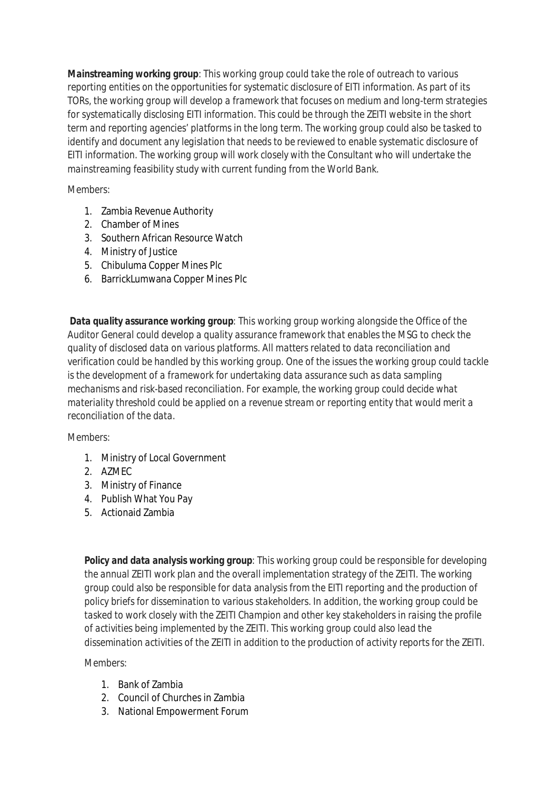*Mainstreaming working group: This working group could take the role of outreach to various reporting entities on the opportunities for systematic disclosure of EITI information. As part of its TORs, the working group will develop a framework that focuses on medium and long-term strategies for systematically disclosing EITI information. This could be through the ZEITI website in the short term and reporting agencies' platforms in the long term. The working group could also be tasked to identify and document any legislation that needs to be reviewed to enable systematic disclosure of EITI information. The working group will work closely with the Consultant who will undertake the mainstreaming feasibility study with current funding from the World Bank.*

## *Members:*

- 1. Zambia Revenue Authority
- 2. Chamber of Mines
- 3. Southern African Resource Watch
- 4. Ministry of Justice
- 5. Chibuluma Copper Mines Plc
- 6. BarrickLumwana Copper Mines Plc

*Data quality assurance working group: This working group working alongside the Office of the Auditor General could develop a quality assurance framework that enables the MSG to check the quality of disclosed data on various platforms. All matters related to data reconciliation and verification could be handled by this working group. One of the issues the working group could tackle is the development of a framework for undertaking data assurance such as data sampling mechanisms and risk-based reconciliation. For example, the working group could decide what materiality threshold could be applied on a revenue stream or reporting entity that would merit a reconciliation of the data.*

## *Members:*

- 1. Ministry of Local Government
- 2. AZMEC
- 3. Ministry of Finance
- 4. Publish What You Pay
- 5. Actionaid Zambia

*Policy and data analysis working group: This working group could be responsible for developing the annual ZEITI work plan and the overall implementation strategy of the ZEITI. The working group could also be responsible for data analysis from the EITI reporting and the production of policy briefs for dissemination to various stakeholders. In addition, the working group could be tasked to work closely with the ZEITI Champion and other key stakeholders in raising the profile of activities being implemented by the ZEITI. This working group could also lead the dissemination activities of the ZEITI in addition to the production of activity reports for the ZEITI.*

## *Members:*

- 1. Bank of Zambia
- 2. Council of Churches in Zambia
- 3. National Empowerment Forum